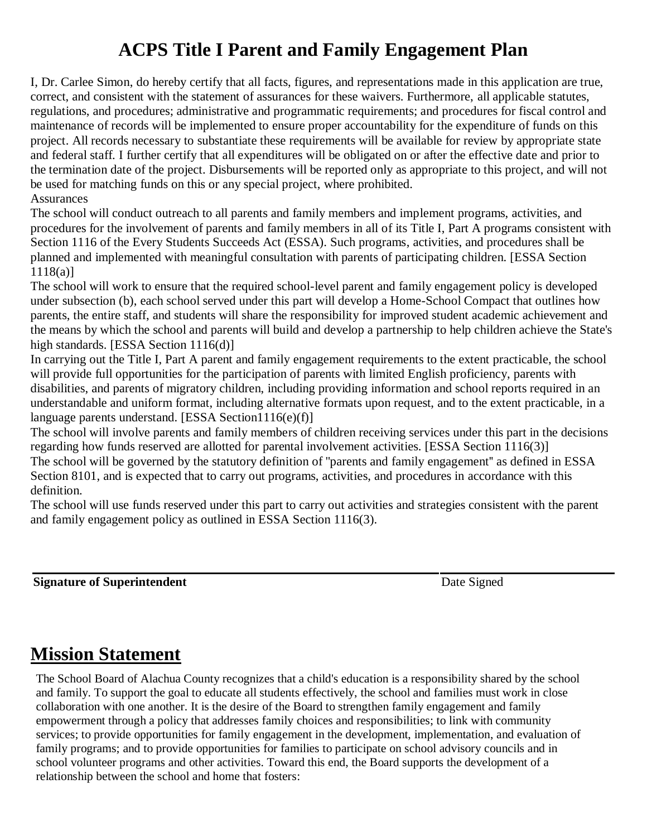## **ACPS Title I Parent and Family Engagement Plan**

I, Dr. Carlee Simon, do hereby certify that all facts, figures, and representations made in this application are true, correct, and consistent with the statement of assurances for these waivers. Furthermore, all applicable statutes, regulations, and procedures; administrative and programmatic requirements; and procedures for fiscal control and maintenance of records will be implemented to ensure proper accountability for the expenditure of funds on this project. All records necessary to substantiate these requirements will be available for review by appropriate state and federal staff. I further certify that all expenditures will be obligated on or after the effective date and prior to the termination date of the project. Disbursements will be reported only as appropriate to this project, and will not be used for matching funds on this or any special project, where prohibited. **Assurances** 

The school will conduct outreach to all parents and family members and implement programs, activities, and procedures for the involvement of parents and family members in all of its Title I, Part A programs consistent with Section 1116 of the Every Students Succeeds Act (ESSA). Such programs, activities, and procedures shall be planned and implemented with meaningful consultation with parents of participating children. [ESSA Section  $1118(a)$ ]

The school will work to ensure that the required school-level parent and family engagement policy is developed under subsection (b), each school served under this part will develop a Home-School Compact that outlines how parents, the entire staff, and students will share the responsibility for improved student academic achievement and the means by which the school and parents will build and develop a partnership to help children achieve the State's high standards. [ESSA Section 1116(d)]

In carrying out the Title I, Part A parent and family engagement requirements to the extent practicable, the school will provide full opportunities for the participation of parents with limited English proficiency, parents with disabilities, and parents of migratory children, including providing information and school reports required in an understandable and uniform format, including alternative formats upon request, and to the extent practicable, in a language parents understand. [ESSA Section1116(e)(f)]

The school will involve parents and family members of children receiving services under this part in the decisions regarding how funds reserved are allotted for parental involvement activities. [ESSA Section 1116(3)] The school will be governed by the statutory definition of ''parents and family engagement'' as defined in ESSA Section 8101, and is expected that to carry out programs, activities, and procedures in accordance with this definition.

The school will use funds reserved under this part to carry out activities and strategies consistent with the parent and family engagement policy as outlined in ESSA Section 1116(3).

**Signature of Superintendent** Date Signed

### **Mission Statement**

The School Board of Alachua County recognizes that a child's education is a responsibility shared by the school and family. To support the goal to educate all students effectively, the school and families must work in close collaboration with one another. It is the desire of the Board to strengthen family engagement and family empowerment through a policy that addresses family choices and responsibilities; to link with community services; to provide opportunities for family engagement in the development, implementation, and evaluation of family programs; and to provide opportunities for families to participate on school advisory councils and in school volunteer programs and other activities. Toward this end, the Board supports the development of a relationship between the school and home that fosters: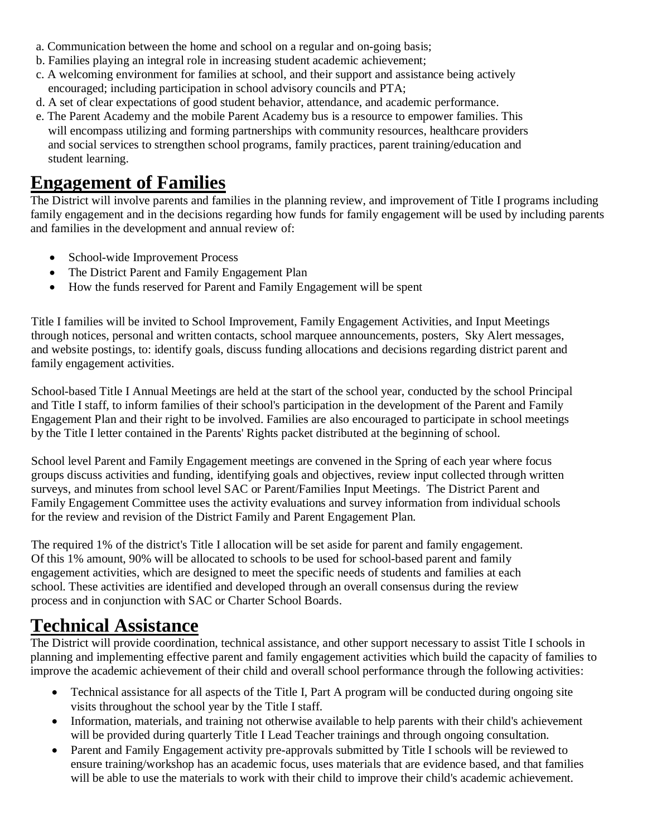- a. Communication between the home and school on a regular and on-going basis;
- b. Families playing an integral role in increasing student academic achievement;
- c. A welcoming environment for families at school, and their support and assistance being actively encouraged; including participation in school advisory councils and PTA;
- d. A set of clear expectations of good student behavior, attendance, and academic performance.
- e. The Parent Academy and the mobile Parent Academy bus is a resource to empower families. This will encompass utilizing and forming partnerships with community resources, healthcare providers and social services to strengthen school programs, family practices, parent training/education and student learning.

### **Engagement of Families**

The District will involve parents and families in the planning review, and improvement of Title I programs including family engagement and in the decisions regarding how funds for family engagement will be used by including parents and families in the development and annual review of:

- School-wide Improvement Process
- The District Parent and Family Engagement Plan
- How the funds reserved for Parent and Family Engagement will be spent

Title I families will be invited to School Improvement, Family Engagement Activities, and Input Meetings through notices, personal and written contacts, school marquee announcements, posters, Sky Alert messages, and website postings, to: identify goals, discuss funding allocations and decisions regarding district parent and family engagement activities.

School-based Title I Annual Meetings are held at the start of the school year, conducted by the school Principal and Title I staff, to inform families of their school's participation in the development of the Parent and Family Engagement Plan and their right to be involved. Families are also encouraged to participate in school meetings by the Title I letter contained in the Parents' Rights packet distributed at the beginning of school.

School level Parent and Family Engagement meetings are convened in the Spring of each year where focus groups discuss activities and funding, identifying goals and objectives, review input collected through written surveys, and minutes from school level SAC or Parent/Families Input Meetings. The District Parent and Family Engagement Committee uses the activity evaluations and survey information from individual schools for the review and revision of the District Family and Parent Engagement Plan.

The required 1% of the district's Title I allocation will be set aside for parent and family engagement. Of this 1% amount, 90% will be allocated to schools to be used for school-based parent and family engagement activities, which are designed to meet the specific needs of students and families at each school. These activities are identified and developed through an overall consensus during the review process and in conjunction with SAC or Charter School Boards.

### **Technical Assistance**

The District will provide coordination, technical assistance, and other support necessary to assist Title I schools in planning and implementing effective parent and family engagement activities which build the capacity of families to improve the academic achievement of their child and overall school performance through the following activities:

- Technical assistance for all aspects of the Title I, Part A program will be conducted during ongoing site visits throughout the school year by the Title I staff.
- Information, materials, and training not otherwise available to help parents with their child's achievement will be provided during quarterly Title I Lead Teacher trainings and through ongoing consultation.
- Parent and Family Engagement activity pre-approvals submitted by Title I schools will be reviewed to ensure training/workshop has an academic focus, uses materials that are evidence based, and that families will be able to use the materials to work with their child to improve their child's academic achievement.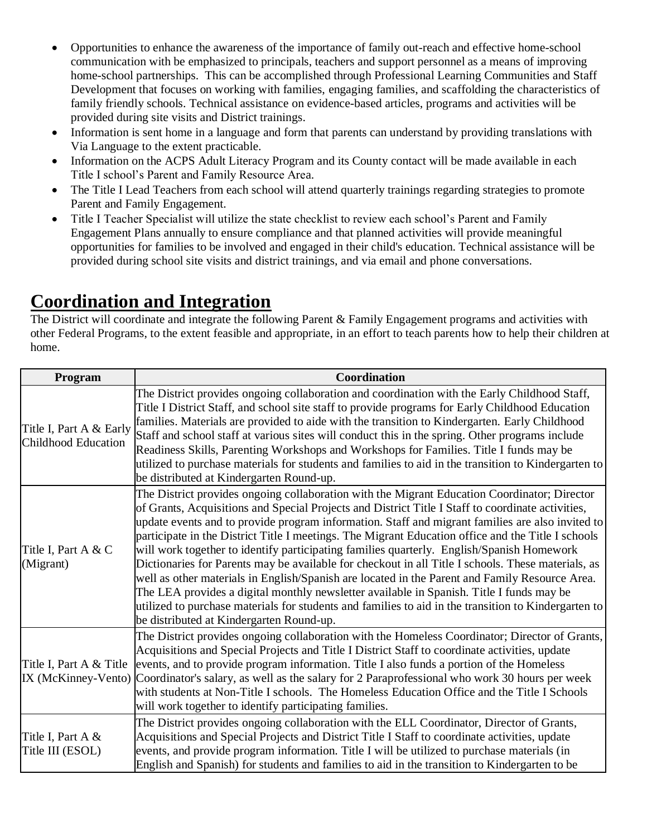- Opportunities to enhance the awareness of the importance of family out-reach and effective home-school communication with be emphasized to principals, teachers and support personnel as a means of improving home-school partnerships. This can be accomplished through Professional Learning Communities and Staff Development that focuses on working with families, engaging families, and scaffolding the characteristics of family friendly schools. Technical assistance on evidence-based articles, programs and activities will be provided during site visits and District trainings.
- Information is sent home in a language and form that parents can understand by providing translations with Via Language to the extent practicable.
- Information on the ACPS Adult Literacy Program and its County contact will be made available in each Title I school's Parent and Family Resource Area.
- The Title I Lead Teachers from each school will attend quarterly trainings regarding strategies to promote Parent and Family Engagement.
- Title I Teacher Specialist will utilize the state checklist to review each school's Parent and Family Engagement Plans annually to ensure compliance and that planned activities will provide meaningful opportunities for families to be involved and engaged in their child's education. Technical assistance will be provided during school site visits and district trainings, and via email and phone conversations.

## **Coordination and Integration**

The District will coordinate and integrate the following Parent & Family Engagement programs and activities with other Federal Programs, to the extent feasible and appropriate, in an effort to teach parents how to help their children at home.

| Program                                        | Coordination                                                                                                                                                                                                                                                                                                                                                                                                                                                                                                                                                                                                                                                                                                                                                                                                                                                                                                                                                     |
|------------------------------------------------|------------------------------------------------------------------------------------------------------------------------------------------------------------------------------------------------------------------------------------------------------------------------------------------------------------------------------------------------------------------------------------------------------------------------------------------------------------------------------------------------------------------------------------------------------------------------------------------------------------------------------------------------------------------------------------------------------------------------------------------------------------------------------------------------------------------------------------------------------------------------------------------------------------------------------------------------------------------|
| Title I, Part A & Early<br>Childhood Education | The District provides ongoing collaboration and coordination with the Early Childhood Staff,<br>Title I District Staff, and school site staff to provide programs for Early Childhood Education<br>families. Materials are provided to aide with the transition to Kindergarten. Early Childhood<br>Staff and school staff at various sites will conduct this in the spring. Other programs include<br>Readiness Skills, Parenting Workshops and Workshops for Families. Title I funds may be<br>utilized to purchase materials for students and families to aid in the transition to Kindergarten to<br>be distributed at Kindergarten Round-up.                                                                                                                                                                                                                                                                                                                |
| Title I, Part A & C<br>(Migrant)               | The District provides ongoing collaboration with the Migrant Education Coordinator; Director<br>of Grants, Acquisitions and Special Projects and District Title I Staff to coordinate activities,<br>update events and to provide program information. Staff and migrant families are also invited to<br>participate in the District Title I meetings. The Migrant Education office and the Title I schools<br>will work together to identify participating families quarterly. English/Spanish Homework<br>Dictionaries for Parents may be available for checkout in all Title I schools. These materials, as<br>well as other materials in English/Spanish are located in the Parent and Family Resource Area.<br>The LEA provides a digital monthly newsletter available in Spanish. Title I funds may be<br>utilized to purchase materials for students and families to aid in the transition to Kindergarten to<br>be distributed at Kindergarten Round-up. |
| Title I, Part A & Title<br>IX (McKinney-Vento) | The District provides ongoing collaboration with the Homeless Coordinator; Director of Grants,<br>Acquisitions and Special Projects and Title I District Staff to coordinate activities, update<br>events, and to provide program information. Title I also funds a portion of the Homeless<br>Coordinator's salary, as well as the salary for 2 Paraprofessional who work 30 hours per week<br>with students at Non-Title I schools. The Homeless Education Office and the Title I Schools<br>will work together to identify participating families.                                                                                                                                                                                                                                                                                                                                                                                                            |
| Title I, Part A $&$<br>Title III (ESOL)        | The District provides ongoing collaboration with the ELL Coordinator, Director of Grants,<br>Acquisitions and Special Projects and District Title I Staff to coordinate activities, update<br>events, and provide program information. Title I will be utilized to purchase materials (in<br>English and Spanish) for students and families to aid in the transition to Kindergarten to be                                                                                                                                                                                                                                                                                                                                                                                                                                                                                                                                                                       |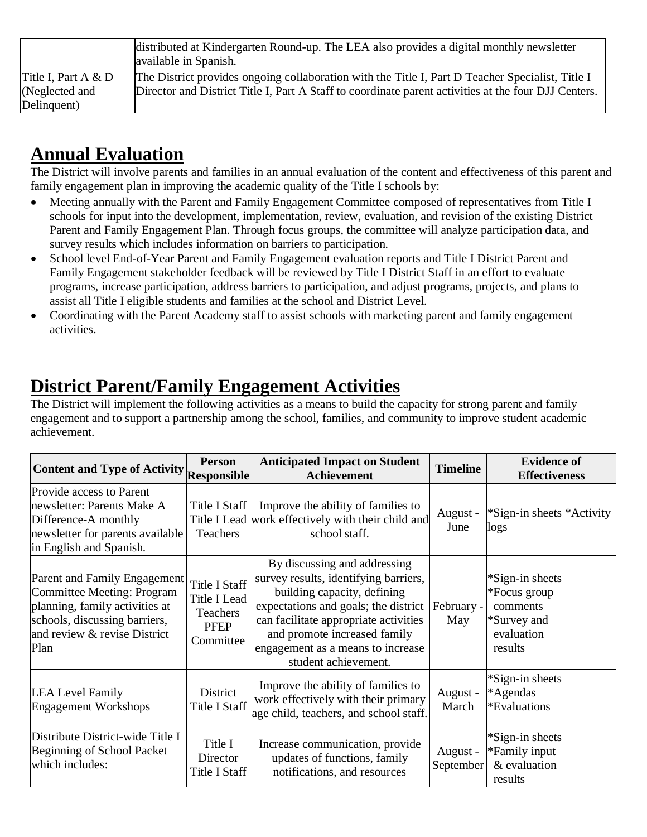|                                        | distributed at Kindergarten Round-up. The LEA also provides a digital monthly newsletter<br>available in Spanish.                                                                                        |
|----------------------------------------|----------------------------------------------------------------------------------------------------------------------------------------------------------------------------------------------------------|
| Title I, Part A $&D$<br>(Neglected and | The District provides ongoing collaboration with the Title I, Part D Teacher Specialist, Title I<br>Director and District Title I, Part A Staff to coordinate parent activities at the four DJJ Centers. |
| Delinquent)                            |                                                                                                                                                                                                          |

## **Annual Evaluation**

The District will involve parents and families in an annual evaluation of the content and effectiveness of this parent and family engagement plan in improving the academic quality of the Title I schools by:

- Meeting annually with the Parent and Family Engagement Committee composed of representatives from Title I schools for input into the development, implementation, review, evaluation, and revision of the existing District Parent and Family Engagement Plan. Through focus groups, the committee will analyze participation data, and survey results which includes information on barriers to participation.
- School level End-of-Year Parent and Family Engagement evaluation reports and Title I District Parent and Family Engagement stakeholder feedback will be reviewed by Title I District Staff in an effort to evaluate programs, increase participation, address barriers to participation, and adjust programs, projects, and plans to assist all Title I eligible students and families at the school and District Level.
- Coordinating with the Parent Academy staff to assist schools with marketing parent and family engagement activities.

## **District Parent/Family Engagement Activities**

The District will implement the following activities as a means to build the capacity for strong parent and family engagement and to support a partnership among the school, families, and community to improve student academic achievement.

| Content and Type of Activity Responsible                                                                                                                              | <b>Person</b>                                                                | <b>Anticipated Impact on Student</b><br>Achievement                                                                                                                                                                                                                                             | <b>Timeline</b>       | <b>Evidence of</b><br><b>Effectiveness</b>                                          |
|-----------------------------------------------------------------------------------------------------------------------------------------------------------------------|------------------------------------------------------------------------------|-------------------------------------------------------------------------------------------------------------------------------------------------------------------------------------------------------------------------------------------------------------------------------------------------|-----------------------|-------------------------------------------------------------------------------------|
| Provide access to Parent<br>newsletter: Parents Make A<br>Difference-A monthly<br>newsletter for parents available<br>in English and Spanish.                         | Title I Staff<br>Teachers                                                    | Improve the ability of families to<br>Title I Lead work effectively with their child and<br>school staff.                                                                                                                                                                                       | August -<br>June      | *Sign-in sheets *Activity<br>logs                                                   |
| Parent and Family Engagement<br>Committee Meeting: Program<br>planning, family activities at<br>schools, discussing barriers,<br>and review & revise District<br>Plan | <b>Title I Staff</b><br>Title I Lead<br>Teachers<br><b>PFEP</b><br>Committee | By discussing and addressing<br>survey results, identifying barriers,<br>building capacity, defining<br>expectations and goals; the district   February -<br>can facilitate appropriate activities<br>and promote increased family<br>engagement as a means to increase<br>student achievement. | May                   | *Sign-in sheets<br>*Focus group<br>comments<br>*Survey and<br>evaluation<br>results |
| <b>LEA Level Family</b><br><b>Engagement Workshops</b>                                                                                                                | <b>District</b><br>Title I Staff                                             | Improve the ability of families to<br>work effectively with their primary<br>age child, teachers, and school staff.                                                                                                                                                                             | August -<br>March     | *Sign-in sheets<br>*Agendas<br>*Evaluations                                         |
| Distribute District-wide Title I<br>Beginning of School Packet<br>which includes:                                                                                     | Title I<br>Director<br>Title I Staff                                         | Increase communication, provide<br>updates of functions, family<br>notifications, and resources                                                                                                                                                                                                 | August -<br>September | *Sign-in sheets<br>*Family input<br>& evaluation<br>results                         |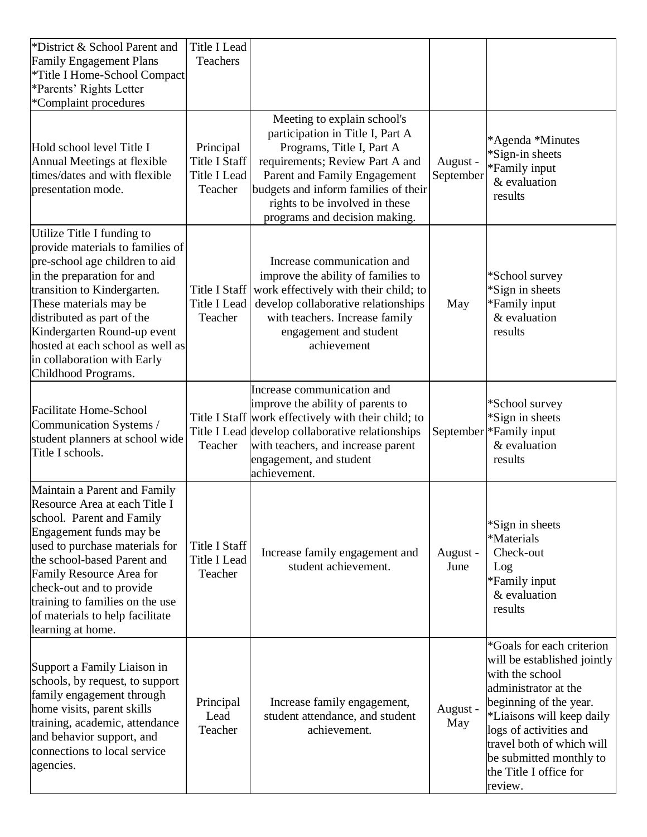| *District & School Parent and<br><b>Family Engagement Plans</b><br>*Title I Home-School Compact<br>*Parents' Rights Letter<br>*Complaint procedures                                                                                                                                                                                            | Title I Lead<br>Teachers                                            |                                                                                                                                                                                                                                                                            |                       |                                                                                                                                                                                                                                                                                   |
|------------------------------------------------------------------------------------------------------------------------------------------------------------------------------------------------------------------------------------------------------------------------------------------------------------------------------------------------|---------------------------------------------------------------------|----------------------------------------------------------------------------------------------------------------------------------------------------------------------------------------------------------------------------------------------------------------------------|-----------------------|-----------------------------------------------------------------------------------------------------------------------------------------------------------------------------------------------------------------------------------------------------------------------------------|
| Hold school level Title I<br>Annual Meetings at flexible<br>times/dates and with flexible<br>presentation mode.                                                                                                                                                                                                                                | Principal<br><b>Title I Staff</b><br><b>Title I Lead</b><br>Teacher | Meeting to explain school's<br>participation in Title I, Part A<br>Programs, Title I, Part A<br>requirements; Review Part A and<br>Parent and Family Engagement<br>budgets and inform families of their<br>rights to be involved in these<br>programs and decision making. | August -<br>September | *Agenda *Minutes<br>*Sign-in sheets<br>*Family input<br>& evaluation<br>results                                                                                                                                                                                                   |
| Utilize Title I funding to<br>provide materials to families of<br>pre-school age children to aid<br>in the preparation for and<br>transition to Kindergarten.<br>These materials may be<br>distributed as part of the<br>Kindergarten Round-up event<br>hosted at each school as well as<br>in collaboration with Early<br>Childhood Programs. | Title I Staff<br><b>Title I Lead</b><br>Teacher                     | Increase communication and<br>improve the ability of families to<br>work effectively with their child; to<br>develop collaborative relationships<br>with teachers. Increase family<br>engagement and student<br>achievement                                                | May                   | *School survey<br>*Sign in sheets<br>*Family input<br>& evaluation<br>results                                                                                                                                                                                                     |
| <b>Facilitate Home-School</b><br>Communication Systems /<br>student planners at school wide<br>Title I schools.                                                                                                                                                                                                                                | Teacher                                                             | Increase communication and<br>improve the ability of parents to<br>Title I Staff work effectively with their child; to<br>Title I Lead develop collaborative relationships<br>with teachers, and increase parent<br>engagement, and student<br>achievement.                | September             | *School survey<br>*Sign in sheets<br>*Family input<br>& evaluation<br>results                                                                                                                                                                                                     |
| Maintain a Parent and Family<br>Resource Area at each Title I<br>school. Parent and Family<br>Engagement funds may be<br>used to purchase materials for<br>the school-based Parent and<br>Family Resource Area for<br>check-out and to provide<br>training to families on the use<br>of materials to help facilitate<br>learning at home.      | Title I Staff<br>Title I Lead<br>Teacher                            | Increase family engagement and<br>student achievement.                                                                                                                                                                                                                     | August -<br>June      | *Sign in sheets<br>*Materials<br>Check-out<br>Log<br>*Family input<br>& evaluation<br>results                                                                                                                                                                                     |
| Support a Family Liaison in<br>schools, by request, to support<br>family engagement through<br>home visits, parent skills<br>training, academic, attendance<br>and behavior support, and<br>connections to local service<br>agencies.                                                                                                          | Principal<br>Lead<br>Teacher                                        | Increase family engagement,<br>student attendance, and student<br>achievement.                                                                                                                                                                                             | August -<br>May       | *Goals for each criterion<br>will be established jointly<br>with the school<br>administrator at the<br>beginning of the year.<br>*Liaisons will keep daily<br>logs of activities and<br>travel both of which will<br>be submitted monthly to<br>the Title I office for<br>review. |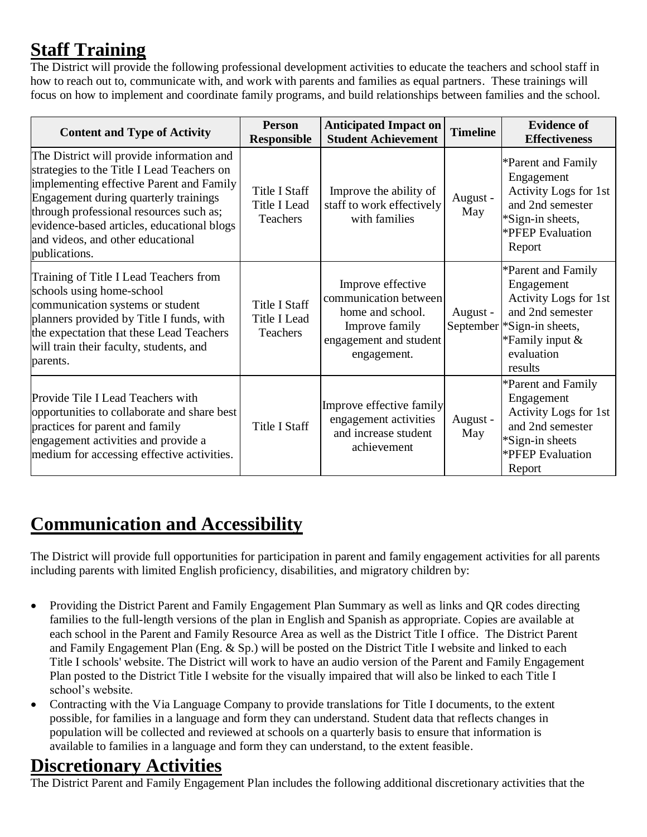# **Staff Training**

The District will provide the following professional development activities to educate the teachers and school staff in how to reach out to, communicate with, and work with parents and families as equal partners. These trainings will focus on how to implement and coordinate family programs, and build relationships between families and the school.

| <b>Content and Type of Activity</b>                                                                                                                                                                                                                                                                                         | <b>Person</b><br><b>Responsible</b>              | <b>Anticipated Impact on</b><br><b>Student Achievement</b>                                                                | <b>Timeline</b> | <b>Evidence of</b><br><b>Effectiveness</b>                                                                                                                 |
|-----------------------------------------------------------------------------------------------------------------------------------------------------------------------------------------------------------------------------------------------------------------------------------------------------------------------------|--------------------------------------------------|---------------------------------------------------------------------------------------------------------------------------|-----------------|------------------------------------------------------------------------------------------------------------------------------------------------------------|
| The District will provide information and<br>strategies to the Title I Lead Teachers on<br>implementing effective Parent and Family<br>Engagement during quarterly trainings<br>through professional resources such as;<br>evidence-based articles, educational blogs<br>and videos, and other educational<br>publications. | Title I Staff<br>Title I Lead<br>Teachers        | Improve the ability of<br>staff to work effectively<br>with families                                                      | August -<br>May | *Parent and Family<br>Engagement<br>Activity Logs for 1st<br>and 2nd semester<br>*Sign-in sheets,<br><b>*PFEP</b> Evaluation<br>Report                     |
| Training of Title I Lead Teachers from<br>schools using home-school<br>communication systems or student<br>planners provided by Title I funds, with<br>the expectation that these Lead Teachers<br>will train their faculty, students, and<br>parents.                                                                      | <b>Title I Staff</b><br>Title I Lead<br>Teachers | Improve effective<br>communication between<br>home and school.<br>Improve family<br>engagement and student<br>engagement. | August -        | *Parent and Family<br>Engagement<br>Activity Logs for 1st<br>and 2nd semester<br>September * Sign-in sheets,<br>*Family input $&$<br>evaluation<br>results |
| Provide Tile I Lead Teachers with<br>opportunities to collaborate and share best<br>practices for parent and family<br>engagement activities and provide a<br>medium for accessing effective activities.                                                                                                                    | <b>Title I Staff</b>                             | Improve effective family<br>engagement activities<br>and increase student<br>achievement                                  | August -<br>May | *Parent and Family<br>Engagement<br>Activity Logs for 1st<br>and 2nd semester<br>$*Sign-in sheets$<br>*PFEP Evaluation<br>Report                           |

## **Communication and Accessibility**

The District will provide full opportunities for participation in parent and family engagement activities for all parents including parents with limited English proficiency, disabilities, and migratory children by:

- Providing the District Parent and Family Engagement Plan Summary as well as links and QR codes directing families to the full-length versions of the plan in English and Spanish as appropriate. Copies are available at each school in the Parent and Family Resource Area as well as the District Title I office. The District Parent and Family Engagement Plan (Eng. & Sp.) will be posted on the District Title I website and linked to each Title I schools' website. The District will work to have an audio version of the Parent and Family Engagement Plan posted to the District Title I website for the visually impaired that will also be linked to each Title I school's website.
- Contracting with the Via Language Company to provide translations for Title I documents, to the extent possible, for families in a language and form they can understand. Student data that reflects changes in population will be collected and reviewed at schools on a quarterly basis to ensure that information is available to families in a language and form they can understand, to the extent feasible.

#### **Discretionary Activities**

The District Parent and Family Engagement Plan includes the following additional discretionary activities that the